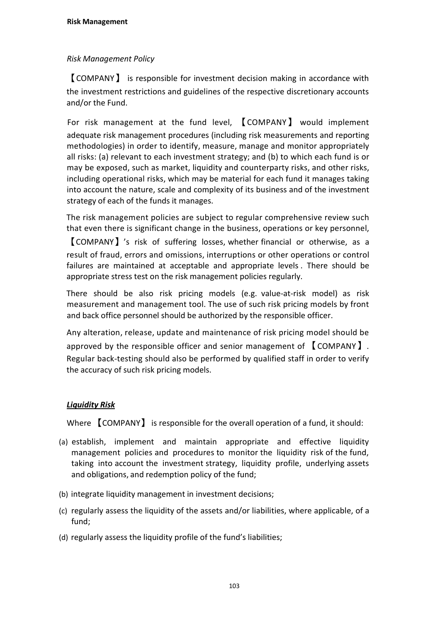# *Risk Management Policy*

【COMPANY】 is responsible for investment decision making in accordance with the investment restrictions and guidelines of the respective discretionary accounts and/or the Fund.

For risk management at the fund level, 【COMPANY】 would implement adequate risk management procedures (including risk measurements and reporting methodologies) in order to identify, measure, manage and monitor appropriately all risks: (a) relevant to each investment strategy; and (b) to which each fund is or may be exposed, such as market, liquidity and counterparty risks, and other risks, including operational risks, which may be material for each fund it manages taking into account the nature, scale and complexity of its business and of the investment strategy of each of the funds it manages.

The risk management policies are subject to regular comprehensive review such that even there is significant change in the business, operations or key personnel,

【COMPANY】's risk of suffering losses, whether financial or otherwise, as a result of fraud, errors and omissions, interruptions or other operations or control failures are maintained at acceptable and appropriate levels . There should be appropriate stress test on the risk management policies regularly.

There should be also risk pricing models (e.g. value-at-risk model) as risk measurement and management tool. The use of such risk pricing models by front and back office personnel should be authorized by the responsible officer.

Any alteration, release, update and maintenance of risk pricing model should be approved by the responsible officer and senior management of 【COMPANY】. Regular back-testing should also be performed by qualified staff in order to verify the accuracy of such risk pricing models.

# *Liquidity Risk*

Where 【COMPANY】 is responsible for the overall operation of a fund, it should:

- (a) establish, implement and maintain appropriate and effective liquidity management policies and procedures to monitor the liquidity risk of the fund, taking into account the investment strategy, liquidity profile, underlying assets and obligations, and redemption policy of the fund;
- (b) integrate liquidity management in investment decisions;
- $(c)$  regularly assess the liquidity of the assets and/or liabilities, where applicable, of a fund;
- (d) regularly assess the liquidity profile of the fund's liabilities;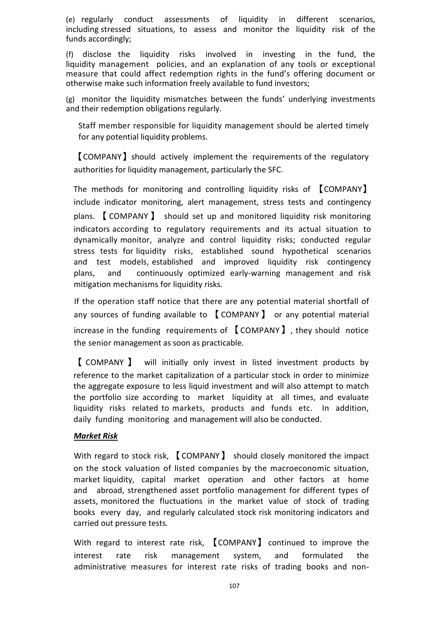(e) regularly conduct assessments of liquidity in different scenarios, including stressed situations, to assess and monitor the liquidity risk of the funds accordingly;

(f) disclose the liquidity risks involved in investing in the fund, the liquidity management policies, and an explanation of any tools or exceptional measure that could affect redemption rights in the fund's offering document or otherwise make such information freely available to fund investors;

(g) monitor the liquidity mismatches between the funds' underlying investments and their redemption obligations regularly.

Staff member responsible for liquidity management should be alerted timely for any potential liquidity problems.

【COMPANY】should actively implement the requirements of the regulatory authorities for liquidity management, particularly the SFC.

The methods for monitoring and controlling liquidity risks of 【COMPANY】 include indicator monitoring, alert management, stress tests and contingency plans. 【 COMPANY 】 should set up and monitored liquidity risk monitoring indicators according to regulatory requirements and its actual situation to dynamically monitor, analyze and control liquidity risks; conducted regular stress tests for liquidity risks, established sound hypothetical scenarios and test models, established and improved liquidity risk contingency plans, and continuously optimized early-warning management and risk mitigation mechanisms for liquidity risks.

If the operation staff notice that there are any potential material shortfall of any sources of funding available to 【COMPANY】 or any potential material increase in the funding requirements of 【COMPANY】, they should notice the senior management as soon as practicable.

【 COMPANY 】 will initially only invest in listed investment products by reference to the market capitalization of a particular stock in order to minimize the aggregate exposure to less liquid investment and will also attempt to match the portfolio size according to market liquidity at all times, and evaluate liquidity risks related to markets, products and funds etc. In addition, daily funding monitoring and management will also be conducted.

## *Market Risk*

With regard to stock risk, **[COMPANY**] should closely monitored the impact on the stock valuation of listed companies by the macroeconomic situation, market liquidity, capital market operation and other factors at home and abroad, strengthened asset portfolio management for different types of assets, monitored the fluctuations in the market value of stock of trading books every day, and regularly calculated stock risk monitoring indicators and carried out pressure tests.

With regard to interest rate risk, **【COMPANY】 continued to improve the** interest rate risk management system, and formulated the administrative measures for interest rate risks of trading books and non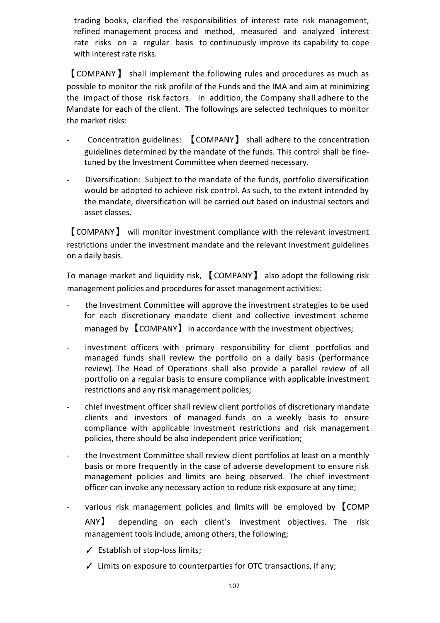trading books, clarified the responsibilities of interest rate risk management, refined management process and method, measured and analyzed interest rate risks on a regular basis to continuously improve its capability to cope with interest rate risks.

【COMPANY】 shall implement the following rules and procedures as much as possible to monitor the risk profile of the Funds and the IMA and aim at minimizing the impact of those risk factors. In addition, the Company shall adhere to the Mandate for each of the client. The followings are selected techniques to monitor the market risks:

- Concentration guidelines: 【COMPANY】 shall adhere to the concentration guidelines determined by the mandate of the funds. This control shall be fine tuned by the Investment Committee when deemed necessary.
- Diversification: Subject to the mandate of the funds, portfolio diversification would be adopted to achieve risk control. As such, to the extent intended by the mandate, diversification will be carried out based on industrial sectors and asset classes.

【COMPANY】 will monitor investment compliance with the relevant investment restrictions under the investment mandate and the relevant investment guidelines on a daily basis.

To manage market and liquidity risk, 【COMPANY】 also adopt the following risk management policies and procedures for asset management activities:

- the Investment Committee will approve the investment strategies to be used for each discretionary mandate client and collective investment scheme managed by 【COMPANY】 in accordance with the investment objectives;
- investment officers with primary responsibility for client portfolios and managed funds shall review the portfolio on a daily basis (performance review). The Head of Operations shall also provide a parallel review of all portfolio on a regular basis to ensure compliance with applicable investment restrictions and any risk management policies;
- chief investment officer shall review client portfolios of discretionary mandate clients and investors of managed funds on a weekly basis to ensure compliance with applicable investment restrictions and risk management policies, there should be also independent price verification;
- the Investment Committee shall review client portfolios at least on a monthly basis or more frequently in the case of adverse development to ensure risk management policies and limits are being observed. The chief investment officer can invoke any necessary action to reduce risk exposure at any time;
- various risk management policies and limits will be employed by COMP ANY】 depending on each client's investment objectives. The risk management tools include, among others, the following;
	- $\checkmark$  Establish of stop-loss limits;
	- ✓ Limits on exposure to counterparties for OTC transactions, if any;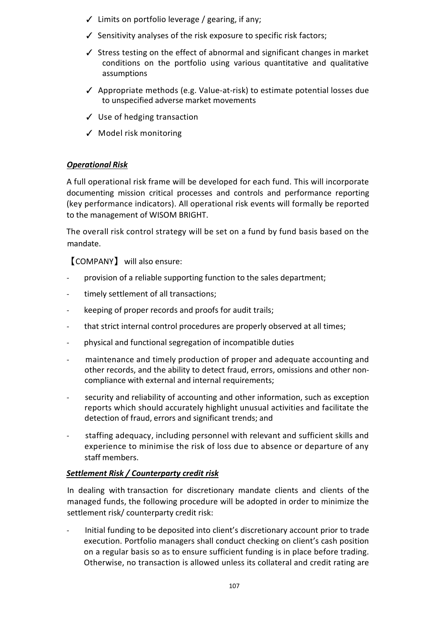- $\checkmark$  Limits on portfolio leverage / gearing, if any;
- ✓ Sensitivity analyses of the risk exposure to specific risk factors;
- ✓ Stress testing on the effect of abnormal and significant changes in market conditions on the portfolio using various quantitative and qualitative assumptions
- ✓ Appropriate methods (e.g. Value-at-risk) to estimate potential losses due to unspecified adverse market movements
- ✓ Use of hedging transaction
- ✓ Model risk monitoring

## *Operational Risk*

A full operational risk frame will be developed for each fund. This will incorporate documenting mission critical processes and controls and performance reporting (key performance indicators). All operational risk events will formally be reported to the management of WISOM BRIGHT.

The overall risk control strategy will be set on a fund by fund basis based on the mandate.

【COMPANY】 will also ensure:

- provision of a reliable supporting function to the sales department;
- timely settlement of all transactions;
- keeping of proper records and proofs for audit trails;
- that strict internal control procedures are properly observed at all times;
- physical and functional segregation of incompatible duties
- maintenance and timely production of proper and adequate accounting and other records, and the ability to detect fraud, errors, omissions and other non compliance with external and internal requirements;
- security and reliability of accounting and other information, such as exception reports which should accurately highlight unusual activities and facilitate the detection of fraud, errors and significant trends; and
- staffing adequacy, including personnel with relevant and sufficient skills and experience to minimise the risk of loss due to absence or departure of any staff members.

## *Settlement Risk / Counterparty credit risk*

In dealing with transaction for discretionary mandate clients and clients of the managed funds, the following procedure will be adopted in order to minimize the settlement risk/ counterparty credit risk:

- Initial funding to be deposited into client's discretionary account prior to trade execution. Portfolio managers shall conduct checking on client's cash position on a regular basis so as to ensure sufficient funding is in place before trading. Otherwise, no transaction is allowed unless its collateral and credit rating are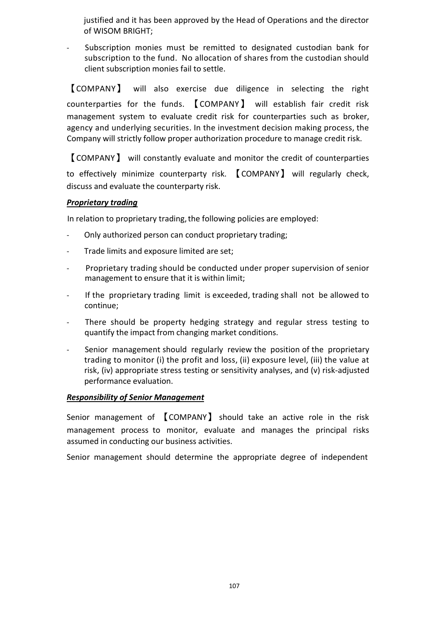justified and it has been approved by the Head of Operations and the director of WISOM BRIGHT;

- Subscription monies must be remitted to designated custodian bank for subscription to the fund. No allocation of shares from the custodian should client subscription monies fail to settle.

【COMPANY】 will also exercise due diligence in selecting the right counterparties for the funds. 【COMPANY】 will establish fair credit risk management system to evaluate credit risk for counterparties such as broker, agency and underlying securities. In the investment decision making process, the Company will strictly follow proper authorization procedure to manage credit risk.

【COMPANY】 will constantly evaluate and monitor the credit of counterparties to effectively minimize counterparty risk. 【COMPANY】 will regularly check, discuss and evaluate the counterparty risk.

## *Proprietary trading*

In relation to proprietary trading, the following policies are employed:

- Only authorized person can conduct proprietary trading;
- Trade limits and exposure limited are set;
- Proprietary trading should be conducted under proper supervision of senior management to ensure that it is within limit;
- If the proprietary trading limit is exceeded, trading shall not be allowed to continue;
- There should be property hedging strategy and regular stress testing to quantify the impact from changing market conditions.
- Senior management should regularly review the position of the proprietary trading to monitor (i) the profit and loss, (ii) exposure level, (iii) the value at risk, (iv) appropriate stress testing or sensitivity analyses, and (v) risk-adjusted performance evaluation.

#### *Responsibility of Senior Management*

Senior management of 【COMPANY】 should take an active role in the risk management process to monitor, evaluate and manages the principal risks assumed in conducting our business activities.

Senior management should determine the appropriate degree of independent